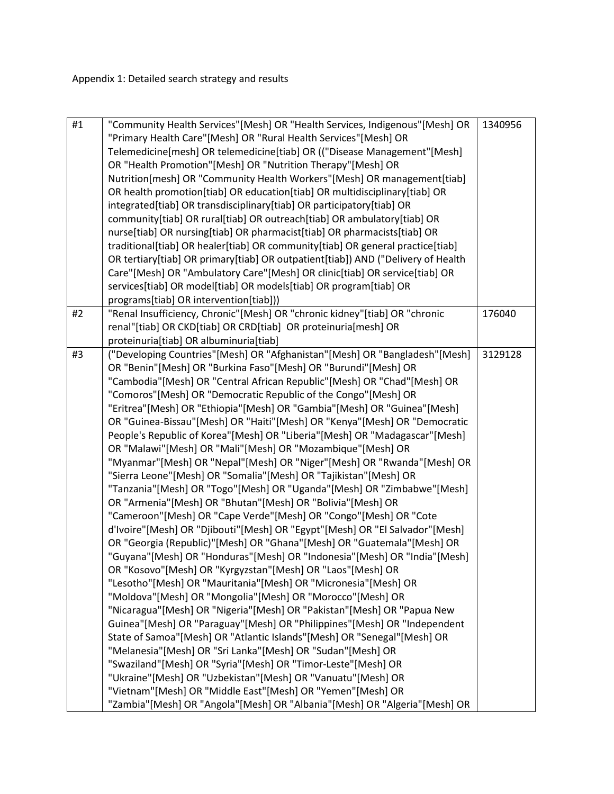| #1 | "Community Health Services"[Mesh] OR "Health Services, Indigenous"[Mesh] OR<br>"Primary Health Care"[Mesh] OR "Rural Health Services"[Mesh] OR<br>Telemedicine[mesh] OR telemedicine[tiab] OR (("Disease Management"[Mesh]<br>OR "Health Promotion"[Mesh] OR "Nutrition Therapy"[Mesh] OR<br>Nutrition[mesh] OR "Community Health Workers"[Mesh] OR management[tiab] | 1340956 |
|----|----------------------------------------------------------------------------------------------------------------------------------------------------------------------------------------------------------------------------------------------------------------------------------------------------------------------------------------------------------------------|---------|
|    | OR health promotion[tiab] OR education[tiab] OR multidisciplinary[tiab] OR<br>integrated[tiab] OR transdisciplinary[tiab] OR participatory[tiab] OR                                                                                                                                                                                                                  |         |
|    | community[tiab] OR rural[tiab] OR outreach[tiab] OR ambulatory[tiab] OR<br>nurse[tiab] OR nursing[tiab] OR pharmacist[tiab] OR pharmacists[tiab] OR                                                                                                                                                                                                                  |         |
|    | traditional[tiab] OR healer[tiab] OR community[tiab] OR general practice[tiab]                                                                                                                                                                                                                                                                                       |         |
|    | OR tertiary[tiab] OR primary[tiab] OR outpatient[tiab]) AND ("Delivery of Health<br>Care"[Mesh] OR "Ambulatory Care"[Mesh] OR clinic[tiab] OR service[tiab] OR                                                                                                                                                                                                       |         |
|    | services[tiab] OR model[tiab] OR models[tiab] OR program[tiab] OR                                                                                                                                                                                                                                                                                                    |         |
|    | programs[tiab] OR intervention[tiab]))                                                                                                                                                                                                                                                                                                                               |         |
| #2 | "Renal Insufficiency, Chronic"[Mesh] OR "chronic kidney"[tiab] OR "chronic                                                                                                                                                                                                                                                                                           | 176040  |
|    | renal"[tiab] OR CKD[tiab] OR CRD[tiab] OR proteinuria[mesh] OR<br>proteinuria[tiab] OR albuminuria[tiab]                                                                                                                                                                                                                                                             |         |
| #3 | ("Developing Countries"[Mesh] OR "Afghanistan"[Mesh] OR "Bangladesh"[Mesh]                                                                                                                                                                                                                                                                                           | 3129128 |
|    | OR "Benin"[Mesh] OR "Burkina Faso"[Mesh] OR "Burundi"[Mesh] OR                                                                                                                                                                                                                                                                                                       |         |
|    | "Cambodia"[Mesh] OR "Central African Republic"[Mesh] OR "Chad"[Mesh] OR                                                                                                                                                                                                                                                                                              |         |
|    | "Comoros"[Mesh] OR "Democratic Republic of the Congo"[Mesh] OR                                                                                                                                                                                                                                                                                                       |         |
|    | "Eritrea"[Mesh] OR "Ethiopia"[Mesh] OR "Gambia"[Mesh] OR "Guinea"[Mesh]                                                                                                                                                                                                                                                                                              |         |
|    | OR "Guinea-Bissau"[Mesh] OR "Haiti"[Mesh] OR "Kenya"[Mesh] OR "Democratic                                                                                                                                                                                                                                                                                            |         |
|    | People's Republic of Korea"[Mesh] OR "Liberia"[Mesh] OR "Madagascar"[Mesh]                                                                                                                                                                                                                                                                                           |         |
|    | OR "Malawi"[Mesh] OR "Mali"[Mesh] OR "Mozambique"[Mesh] OR                                                                                                                                                                                                                                                                                                           |         |
|    | "Myanmar"[Mesh] OR "Nepal"[Mesh] OR "Niger"[Mesh] OR "Rwanda"[Mesh] OR                                                                                                                                                                                                                                                                                               |         |
|    | "Sierra Leone"[Mesh] OR "Somalia"[Mesh] OR "Tajikistan"[Mesh] OR                                                                                                                                                                                                                                                                                                     |         |
|    | "Tanzania"[Mesh] OR "Togo"[Mesh] OR "Uganda"[Mesh] OR "Zimbabwe"[Mesh]                                                                                                                                                                                                                                                                                               |         |
|    | OR "Armenia"[Mesh] OR "Bhutan"[Mesh] OR "Bolivia"[Mesh] OR                                                                                                                                                                                                                                                                                                           |         |
|    | "Cameroon"[Mesh] OR "Cape Verde"[Mesh] OR "Congo"[Mesh] OR "Cote                                                                                                                                                                                                                                                                                                     |         |
|    | d'Ivoire"[Mesh] OR "Djibouti"[Mesh] OR "Egypt"[Mesh] OR "El Salvador"[Mesh]                                                                                                                                                                                                                                                                                          |         |
|    | OR "Georgia (Republic)"[Mesh] OR "Ghana"[Mesh] OR "Guatemala"[Mesh] OR<br>"Guyana"[Mesh] OR "Honduras"[Mesh] OR "Indonesia"[Mesh] OR "India"[Mesh]                                                                                                                                                                                                                   |         |
|    | OR "Kosovo"[Mesh] OR "Kyrgyzstan"[Mesh] OR "Laos"[Mesh] OR                                                                                                                                                                                                                                                                                                           |         |
|    | "Lesotho"[Mesh] OR "Mauritania"[Mesh] OR "Micronesia"[Mesh] OR                                                                                                                                                                                                                                                                                                       |         |
|    | "Moldova"[Mesh] OR "Mongolia"[Mesh] OR "Morocco"[Mesh] OR                                                                                                                                                                                                                                                                                                            |         |
|    | "Nicaragua"[Mesh] OR "Nigeria"[Mesh] OR "Pakistan"[Mesh] OR "Papua New                                                                                                                                                                                                                                                                                               |         |
|    | Guinea"[Mesh] OR "Paraguay"[Mesh] OR "Philippines"[Mesh] OR "Independent                                                                                                                                                                                                                                                                                             |         |
|    | State of Samoa"[Mesh] OR "Atlantic Islands"[Mesh] OR "Senegal"[Mesh] OR                                                                                                                                                                                                                                                                                              |         |
|    | "Melanesia"[Mesh] OR "Sri Lanka"[Mesh] OR "Sudan"[Mesh] OR                                                                                                                                                                                                                                                                                                           |         |
|    | "Swaziland"[Mesh] OR "Syria"[Mesh] OR "Timor-Leste"[Mesh] OR                                                                                                                                                                                                                                                                                                         |         |
|    | "Ukraine"[Mesh] OR "Uzbekistan"[Mesh] OR "Vanuatu"[Mesh] OR                                                                                                                                                                                                                                                                                                          |         |
|    | "Vietnam"[Mesh] OR "Middle East"[Mesh] OR "Yemen"[Mesh] OR                                                                                                                                                                                                                                                                                                           |         |
|    | "Zambia"[Mesh] OR "Angola"[Mesh] OR "Albania"[Mesh] OR "Algeria"[Mesh] OR                                                                                                                                                                                                                                                                                            |         |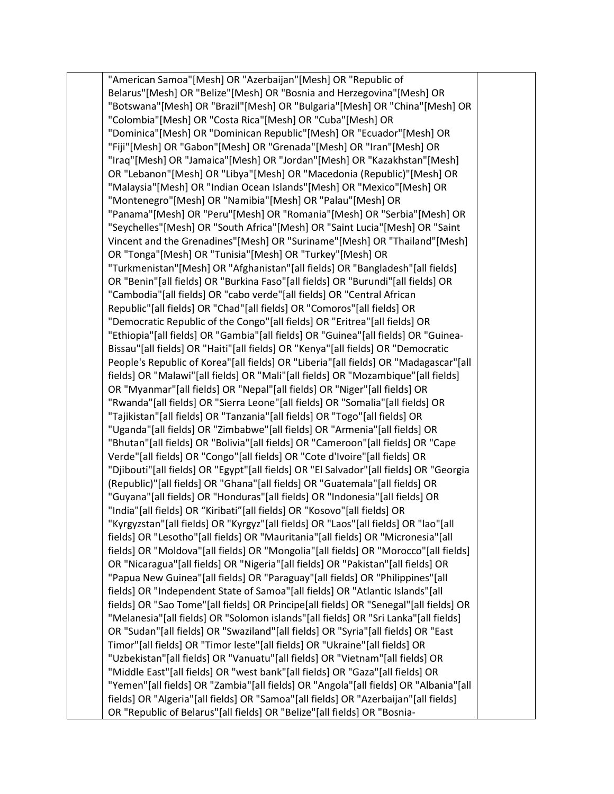"American Samoa"[Mesh] OR "Azerbaijan"[Mesh] OR "Republic of Belarus"[Mesh] OR "Belize"[Mesh] OR "Bosnia and Herzegovina"[Mesh] OR "Botswana"[Mesh] OR "Brazil"[Mesh] OR "Bulgaria"[Mesh] OR "China"[Mesh] OR "Colombia"[Mesh] OR "Costa Rica"[Mesh] OR "Cuba"[Mesh] OR "Dominica"[Mesh] OR "Dominican Republic"[Mesh] OR "Ecuador"[Mesh] OR "Fiji"[Mesh] OR "Gabon"[Mesh] OR "Grenada"[Mesh] OR "Iran"[Mesh] OR "Iraq"[Mesh] OR "Jamaica"[Mesh] OR "Jordan"[Mesh] OR "Kazakhstan"[Mesh] OR "Lebanon"[Mesh] OR "Libya"[Mesh] OR "Macedonia (Republic)"[Mesh] OR "Malaysia"[Mesh] OR "Indian Ocean Islands"[Mesh] OR "Mexico"[Mesh] OR "Montenegro"[Mesh] OR "Namibia"[Mesh] OR "Palau"[Mesh] OR "Panama"[Mesh] OR "Peru"[Mesh] OR "Romania"[Mesh] OR "Serbia"[Mesh] OR "Seychelles"[Mesh] OR "South Africa"[Mesh] OR "Saint Lucia"[Mesh] OR "Saint Vincent and the Grenadines"[Mesh] OR "Suriname"[Mesh] OR "Thailand"[Mesh] OR "Tonga"[Mesh] OR "Tunisia"[Mesh] OR "Turkey"[Mesh] OR "Turkmenistan"[Mesh] OR "Afghanistan"[all fields] OR "Bangladesh"[all fields] OR "Benin"[all fields] OR "Burkina Faso"[all fields] OR "Burundi"[all fields] OR "Cambodia"[all fields] OR "cabo verde"[all fields] OR "Central African Republic"[all fields] OR "Chad"[all fields] OR "Comoros"[all fields] OR "Democratic Republic of the Congo"[all fields] OR "Eritrea"[all fields] OR "Ethiopia"[all fields] OR "Gambia"[all fields] OR "Guinea"[all fields] OR "Guinea-Bissau"[all fields] OR "Haiti"[all fields] OR "Kenya"[all fields] OR "Democratic People's Republic of Korea"[all fields] OR "Liberia"[all fields] OR "Madagascar"[all fields] OR "Malawi"[all fields] OR "Mali"[all fields] OR "Mozambique"[all fields] OR "Myanmar"[all fields] OR "Nepal"[all fields] OR "Niger"[all fields] OR "Rwanda"[all fields] OR "Sierra Leone"[all fields] OR "Somalia"[all fields] OR "Tajikistan"[all fields] OR "Tanzania"[all fields] OR "Togo"[all fields] OR "Uganda"[all fields] OR "Zimbabwe"[all fields] OR "Armenia"[all fields] OR "Bhutan"[all fields] OR "Bolivia"[all fields] OR "Cameroon"[all fields] OR "Cape Verde"[all fields] OR "Congo"[all fields] OR "Cote d'Ivoire"[all fields] OR "Djibouti"[all fields] OR "Egypt"[all fields] OR "El Salvador"[all fields] OR "Georgia (Republic)"[all fields] OR "Ghana"[all fields] OR "Guatemala"[all fields] OR "Guyana"[all fields] OR "Honduras"[all fields] OR "Indonesia"[all fields] OR "India"[all fields] OR "Kiribati"[all fields] OR "Kosovo"[all fields] OR "Kyrgyzstan"[all fields] OR "Kyrgyz"[all fields] OR "Laos"[all fields] OR "lao"[all fields] OR "Lesotho"[all fields] OR "Mauritania"[all fields] OR "Micronesia"[all fields] OR "Moldova"[all fields] OR "Mongolia"[all fields] OR "Morocco"[all fields] OR "Nicaragua"[all fields] OR "Nigeria"[all fields] OR "Pakistan"[all fields] OR "Papua New Guinea"[all fields] OR "Paraguay"[all fields] OR "Philippines"[all fields] OR "Independent State of Samoa"[all fields] OR "Atlantic Islands"[all fields] OR "Sao Tome"[all fields] OR Principe[all fields] OR "Senegal"[all fields] OR "Melanesia"[all fields] OR "Solomon islands"[all fields] OR "Sri Lanka"[all fields] OR "Sudan"[all fields] OR "Swaziland"[all fields] OR "Syria"[all fields] OR "East Timor"[all fields] OR "Timor leste"[all fields] OR "Ukraine"[all fields] OR "Uzbekistan"[all fields] OR "Vanuatu"[all fields] OR "Vietnam"[all fields] OR "Middle East"[all fields] OR "west bank"[all fields] OR "Gaza"[all fields] OR "Yemen"[all fields] OR "Zambia"[all fields] OR "Angola"[all fields] OR "Albania"[all fields] OR "Algeria"[all fields] OR "Samoa"[all fields] OR "Azerbaijan"[all fields] OR "Republic of Belarus"[all fields] OR "Belize"[all fields] OR "Bosnia-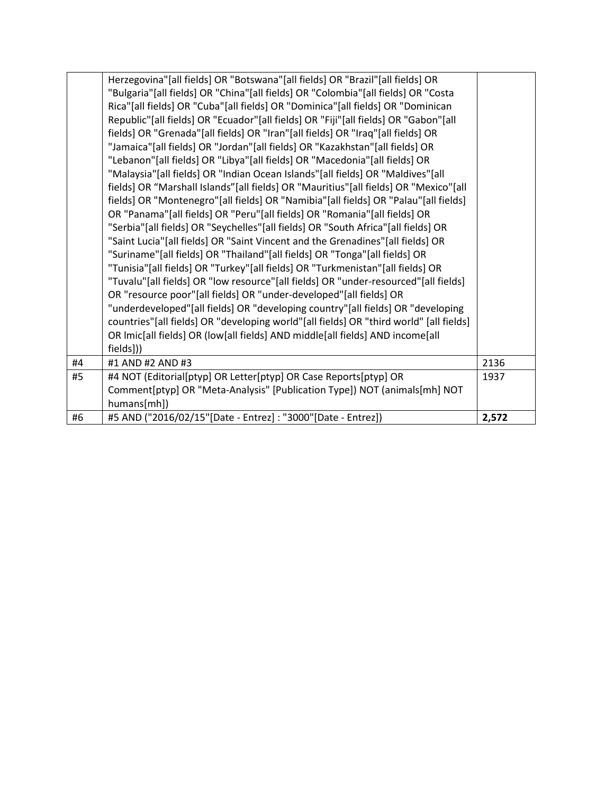|    | Herzegovina"[all fields] OR "Botswana"[all fields] OR "Brazil"[all fields] OR          |       |
|----|----------------------------------------------------------------------------------------|-------|
|    | "Bulgaria"[all fields] OR "China"[all fields] OR "Colombia"[all fields] OR "Costa      |       |
|    | Rica"[all fields] OR "Cuba"[all fields] OR "Dominica"[all fields] OR "Dominican        |       |
|    | Republic"[all fields] OR "Ecuador"[all fields] OR "Fiji"[all fields] OR "Gabon"[all    |       |
|    | fields] OR "Grenada"[all fields] OR "Iran"[all fields] OR "Iraq"[all fields] OR        |       |
|    | "Jamaica"[all fields] OR "Jordan"[all fields] OR "Kazakhstan"[all fields] OR           |       |
|    | "Lebanon"[all fields] OR "Libya"[all fields] OR "Macedonia"[all fields] OR             |       |
|    | "Malaysia"[all fields] OR "Indian Ocean Islands"[all fields] OR "Maldives"[all         |       |
|    | fields] OR "Marshall Islands"[all fields] OR "Mauritius"[all fields] OR "Mexico"[all   |       |
|    | fields] OR "Montenegro"[all fields] OR "Namibia"[all fields] OR "Palau"[all fields]    |       |
|    | OR "Panama"[all fields] OR "Peru"[all fields] OR "Romania"[all fields] OR              |       |
|    | "Serbia"[all fields] OR "Seychelles"[all fields] OR "South Africa"[all fields] OR      |       |
|    | "Saint Lucia"[all fields] OR "Saint Vincent and the Grenadines"[all fields] OR         |       |
|    | "Suriname"[all fields] OR "Thailand"[all fields] OR "Tonga"[all fields] OR             |       |
|    | "Tunisia"[all fields] OR "Turkey"[all fields] OR "Turkmenistan"[all fields] OR         |       |
|    | "Tuvalu"[all fields] OR "low resource"[all fields] OR "under-resourced"[all fields]    |       |
|    | OR "resource poor"[all fields] OR "under-developed"[all fields] OR                     |       |
|    | "underdeveloped"[all fields] OR "developing country"[all fields] OR "developing        |       |
|    | countries"[all fields] OR "developing world"[all fields] OR "third world" [all fields] |       |
|    | OR Imic[all fields] OR (low[all fields] AND middle[all fields] AND income[all          |       |
|    | fields]))                                                                              |       |
| #4 | #1 AND #2 AND #3                                                                       | 2136  |
| #5 | #4 NOT (Editorial[ptyp] OR Letter[ptyp] OR Case Reports[ptyp] OR                       | 1937  |
|    | Comment[ptyp] OR "Meta-Analysis" [Publication Type]) NOT (animals[mh] NOT              |       |
|    | humans[mh])                                                                            |       |
| #6 | #5 AND ("2016/02/15"[Date - Entrez] : "3000"[Date - Entrez])                           | 2,572 |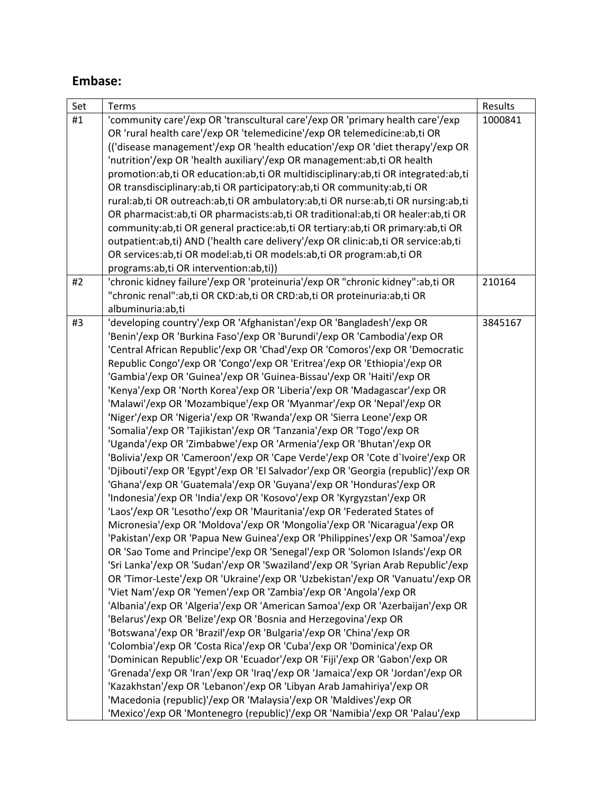## **Embase:**

| Set | Terms                                                                                                                                  | Results |
|-----|----------------------------------------------------------------------------------------------------------------------------------------|---------|
| #1  | 'community care'/exp OR 'transcultural care'/exp OR 'primary health care'/exp                                                          | 1000841 |
|     | OR 'rural health care'/exp OR 'telemedicine'/exp OR telemedicine:ab,ti OR                                                              |         |
|     | (('disease management'/exp OR 'health education'/exp OR 'diet therapy'/exp OR                                                          |         |
|     | 'nutrition'/exp OR 'health auxiliary'/exp OR management:ab,ti OR health                                                                |         |
|     | promotion:ab,ti OR education:ab,ti OR multidisciplinary:ab,ti OR integrated:ab,ti                                                      |         |
|     | OR transdisciplinary:ab,ti OR participatory:ab,ti OR community:ab,ti OR                                                                |         |
|     | rural:ab,ti OR outreach:ab,ti OR ambulatory:ab,ti OR nurse:ab,ti OR nursing:ab,ti                                                      |         |
|     | OR pharmacist:ab,ti OR pharmacists:ab,ti OR traditional:ab,ti OR healer:ab,ti OR                                                       |         |
|     | community:ab,ti OR general practice:ab,ti OR tertiary:ab,ti OR primary:ab,ti OR                                                        |         |
|     | outpatient:ab,ti) AND ('health care delivery'/exp OR clinic:ab,ti OR service:ab,ti                                                     |         |
|     | OR services:ab,ti OR model:ab,ti OR models:ab,ti OR program:ab,ti OR<br>programs:ab,ti OR intervention:ab,ti))                         |         |
| #2  | 'chronic kidney failure'/exp OR 'proteinuria'/exp OR "chronic kidney":ab,ti OR                                                         | 210164  |
|     | "chronic renal":ab,ti OR CKD:ab,ti OR CRD:ab,ti OR proteinuria:ab,ti OR                                                                |         |
|     | albuminuria:ab,ti                                                                                                                      |         |
| #3  | 'developing country'/exp OR 'Afghanistan'/exp OR 'Bangladesh'/exp OR                                                                   | 3845167 |
|     | 'Benin'/exp OR 'Burkina Faso'/exp OR 'Burundi'/exp OR 'Cambodia'/exp OR                                                                |         |
|     | 'Central African Republic'/exp OR 'Chad'/exp OR 'Comoros'/exp OR 'Democratic                                                           |         |
|     | Republic Congo'/exp OR 'Congo'/exp OR 'Eritrea'/exp OR 'Ethiopia'/exp OR                                                               |         |
|     | 'Gambia'/exp OR 'Guinea'/exp OR 'Guinea-Bissau'/exp OR 'Haiti'/exp OR                                                                  |         |
|     | 'Kenya'/exp OR 'North Korea'/exp OR 'Liberia'/exp OR 'Madagascar'/exp OR                                                               |         |
|     | 'Malawi'/exp OR 'Mozambique'/exp OR 'Myanmar'/exp OR 'Nepal'/exp OR                                                                    |         |
|     | 'Niger'/exp OR 'Nigeria'/exp OR 'Rwanda'/exp OR 'Sierra Leone'/exp OR                                                                  |         |
|     | 'Somalia'/exp OR 'Tajikistan'/exp OR 'Tanzania'/exp OR 'Togo'/exp OR                                                                   |         |
|     | 'Uganda'/exp OR 'Zimbabwe'/exp OR 'Armenia'/exp OR 'Bhutan'/exp OR                                                                     |         |
|     | 'Bolivia'/exp OR 'Cameroon'/exp OR 'Cape Verde'/exp OR 'Cote d'Ivoire'/exp OR                                                          |         |
|     | 'Djibouti'/exp OR 'Egypt'/exp OR 'El Salvador'/exp OR 'Georgia (republic)'/exp OR                                                      |         |
|     | 'Ghana'/exp OR 'Guatemala'/exp OR 'Guyana'/exp OR 'Honduras'/exp OR                                                                    |         |
|     | 'Indonesia'/exp OR 'India'/exp OR 'Kosovo'/exp OR 'Kyrgyzstan'/exp OR                                                                  |         |
|     | 'Laos'/exp OR 'Lesotho'/exp OR 'Mauritania'/exp OR 'Federated States of                                                                |         |
|     | Micronesia'/exp OR 'Moldova'/exp OR 'Mongolia'/exp OR 'Nicaragua'/exp OR                                                               |         |
|     | 'Pakistan'/exp OR 'Papua New Guinea'/exp OR 'Philippines'/exp OR 'Samoa'/exp                                                           |         |
|     | OR 'Sao Tome and Principe'/exp OR 'Senegal'/exp OR 'Solomon Islands'/exp OR                                                            |         |
|     | 'Sri Lanka'/exp OR 'Sudan'/exp OR 'Swaziland'/exp OR 'Syrian Arab Republic'/exp                                                        |         |
|     | OR 'Timor-Leste'/exp OR 'Ukraine'/exp OR 'Uzbekistan'/exp OR 'Vanuatu'/exp OR                                                          |         |
|     | 'Viet Nam'/exp OR 'Yemen'/exp OR 'Zambia'/exp OR 'Angola'/exp OR                                                                       |         |
|     | 'Albania'/exp OR 'Algeria'/exp OR 'American Samoa'/exp OR 'Azerbaijan'/exp OR                                                          |         |
|     | 'Belarus'/exp OR 'Belize'/exp OR 'Bosnia and Herzegovina'/exp OR<br>'Botswana'/exp OR 'Brazil'/exp OR 'Bulgaria'/exp OR 'China'/exp OR |         |
|     | 'Colombia'/exp OR 'Costa Rica'/exp OR 'Cuba'/exp OR 'Dominica'/exp OR                                                                  |         |
|     | 'Dominican Republic'/exp OR 'Ecuador'/exp OR 'Fiji'/exp OR 'Gabon'/exp OR                                                              |         |
|     | 'Grenada'/exp OR 'Iran'/exp OR 'Iraq'/exp OR 'Jamaica'/exp OR 'Jordan'/exp OR                                                          |         |
|     | 'Kazakhstan'/exp OR 'Lebanon'/exp OR 'Libyan Arab Jamahiriya'/exp OR                                                                   |         |
|     | 'Macedonia (republic)'/exp OR 'Malaysia'/exp OR 'Maldives'/exp OR                                                                      |         |
|     | 'Mexico'/exp OR 'Montenegro (republic)'/exp OR 'Namibia'/exp OR 'Palau'/exp                                                            |         |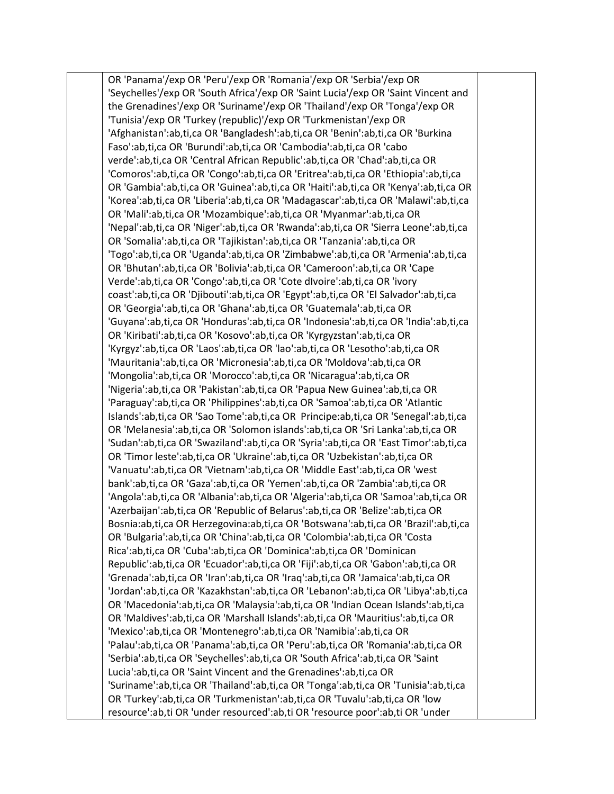OR 'Panama'/exp OR 'Peru'/exp OR 'Romania'/exp OR 'Serbia'/exp OR 'Seychelles'/exp OR 'South Africa'/exp OR 'Saint Lucia'/exp OR 'Saint Vincent and the Grenadines'/exp OR 'Suriname'/exp OR 'Thailand'/exp OR 'Tonga'/exp OR 'Tunisia'/exp OR 'Turkey (republic)'/exp OR 'Turkmenistan'/exp OR 'Afghanistan':ab,ti,ca OR 'Bangladesh':ab,ti,ca OR 'Benin':ab,ti,ca OR 'Burkina Faso':ab,ti,ca OR 'Burundi':ab,ti,ca OR 'Cambodia':ab,ti,ca OR 'cabo verde':ab,ti,ca OR 'Central African Republic':ab,ti,ca OR 'Chad':ab,ti,ca OR 'Comoros':ab,ti,ca OR 'Congo':ab,ti,ca OR 'Eritrea':ab,ti,ca OR 'Ethiopia':ab,ti,ca OR 'Gambia':ab,ti,ca OR 'Guinea':ab,ti,ca OR 'Haiti':ab,ti,ca OR 'Kenya':ab,ti,ca OR 'Korea':ab,ti,ca OR 'Liberia':ab,ti,ca OR 'Madagascar':ab,ti,ca OR 'Malawi':ab,ti,ca OR 'Mali':ab,ti,ca OR 'Mozambique':ab,ti,ca OR 'Myanmar':ab,ti,ca OR 'Nepal':ab,ti,ca OR 'Niger':ab,ti,ca OR 'Rwanda':ab,ti,ca OR 'Sierra Leone':ab,ti,ca OR 'Somalia':ab,ti,ca OR 'Tajikistan':ab,ti,ca OR 'Tanzania':ab,ti,ca OR 'Togo':ab,ti,ca OR 'Uganda':ab,ti,ca OR 'Zimbabwe':ab,ti,ca OR 'Armenia':ab,ti,ca OR 'Bhutan':ab,ti,ca OR 'Bolivia':ab,ti,ca OR 'Cameroon':ab,ti,ca OR 'Cape Verde':ab,ti,ca OR 'Congo':ab,ti,ca OR 'Cote dIvoire':ab,ti,ca OR 'ivory coast':ab,ti,ca OR 'Djibouti':ab,ti,ca OR 'Egypt':ab,ti,ca OR 'El Salvador':ab,ti,ca OR 'Georgia':ab,ti,ca OR 'Ghana':ab,ti,ca OR 'Guatemala':ab,ti,ca OR 'Guyana':ab,ti,ca OR 'Honduras':ab,ti,ca OR 'Indonesia':ab,ti,ca OR 'India':ab,ti,ca OR 'Kiribati':ab,ti,ca OR 'Kosovo':ab,ti,ca OR 'Kyrgyzstan':ab,ti,ca OR 'Kyrgyz':ab,ti,ca OR 'Laos':ab,ti,ca OR 'lao':ab,ti,ca OR 'Lesotho':ab,ti,ca OR 'Mauritania':ab,ti,ca OR 'Micronesia':ab,ti,ca OR 'Moldova':ab,ti,ca OR 'Mongolia':ab,ti,ca OR 'Morocco':ab,ti,ca OR 'Nicaragua':ab,ti,ca OR 'Nigeria':ab,ti,ca OR 'Pakistan':ab,ti,ca OR 'Papua New Guinea':ab,ti,ca OR 'Paraguay':ab,ti,ca OR 'Philippines':ab,ti,ca OR 'Samoa':ab,ti,ca OR 'Atlantic Islands':ab,ti,ca OR 'Sao Tome':ab,ti,ca OR Principe:ab,ti,ca OR 'Senegal':ab,ti,ca OR 'Melanesia':ab,ti,ca OR 'Solomon islands':ab,ti,ca OR 'Sri Lanka':ab,ti,ca OR 'Sudan':ab,ti,ca OR 'Swaziland':ab,ti,ca OR 'Syria':ab,ti,ca OR 'East Timor':ab,ti,ca OR 'Timor leste':ab,ti,ca OR 'Ukraine':ab,ti,ca OR 'Uzbekistan':ab,ti,ca OR 'Vanuatu':ab,ti,ca OR 'Vietnam':ab,ti,ca OR 'Middle East':ab,ti,ca OR 'west bank':ab,ti,ca OR 'Gaza':ab,ti,ca OR 'Yemen':ab,ti,ca OR 'Zambia':ab,ti,ca OR 'Angola':ab,ti,ca OR 'Albania':ab,ti,ca OR 'Algeria':ab,ti,ca OR 'Samoa':ab,ti,ca OR 'Azerbaijan':ab,ti,ca OR 'Republic of Belarus':ab,ti,ca OR 'Belize':ab,ti,ca OR Bosnia:ab,ti,ca OR Herzegovina:ab,ti,ca OR 'Botswana':ab,ti,ca OR 'Brazil':ab,ti,ca OR 'Bulgaria':ab,ti,ca OR 'China':ab,ti,ca OR 'Colombia':ab,ti,ca OR 'Costa Rica':ab,ti,ca OR 'Cuba':ab,ti,ca OR 'Dominica':ab,ti,ca OR 'Dominican Republic':ab,ti,ca OR 'Ecuador':ab,ti,ca OR 'Fiji':ab,ti,ca OR 'Gabon':ab,ti,ca OR 'Grenada':ab,ti,ca OR 'Iran':ab,ti,ca OR 'Iraq':ab,ti,ca OR 'Jamaica':ab,ti,ca OR 'Jordan':ab,ti,ca OR 'Kazakhstan':ab,ti,ca OR 'Lebanon':ab,ti,ca OR 'Libya':ab,ti,ca OR 'Macedonia':ab,ti,ca OR 'Malaysia':ab,ti,ca OR 'Indian Ocean Islands':ab,ti,ca OR 'Maldives':ab,ti,ca OR 'Marshall Islands':ab,ti,ca OR 'Mauritius':ab,ti,ca OR 'Mexico':ab,ti,ca OR 'Montenegro':ab,ti,ca OR 'Namibia':ab,ti,ca OR 'Palau':ab,ti,ca OR 'Panama':ab,ti,ca OR 'Peru':ab,ti,ca OR 'Romania':ab,ti,ca OR 'Serbia':ab,ti,ca OR 'Seychelles':ab,ti,ca OR 'South Africa':ab,ti,ca OR 'Saint Lucia':ab,ti,ca OR 'Saint Vincent and the Grenadines':ab,ti,ca OR 'Suriname':ab,ti,ca OR 'Thailand':ab,ti,ca OR 'Tonga':ab,ti,ca OR 'Tunisia':ab,ti,ca OR 'Turkey':ab,ti,ca OR 'Turkmenistan':ab,ti,ca OR 'Tuvalu':ab,ti,ca OR 'low resource':ab,ti OR 'under resourced':ab,ti OR 'resource poor':ab,ti OR 'under